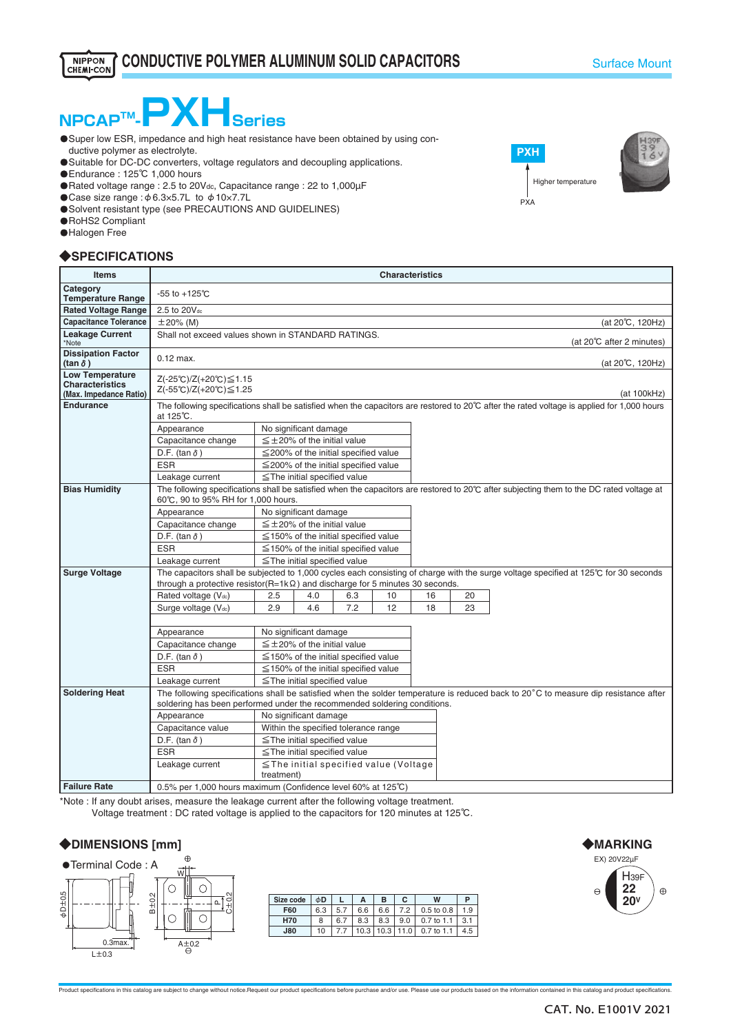# NPCAP<sup>™</sup>-**PXHSeries**

- **O** Super low ESR, impedance and high heat resistance have been obtained by using conductive polymer as electrolyte.
- **O** Suitable for DC-DC converters, voltage regulators and decoupling applications.
- ・Endurance : 125℃ 1,000 hours
- Rated voltage range : 2.5 to 20Vdc, Capacitance range : 22 to 1,000µF
- ・Case size range :φ6.3×5.7L to φ10×7.7L
- ・Solvent resistant type (see PRECAUTIONS AND GUIDELINES)
- **O**RoHS2 Compliant
- **O**Halogen Free

### ◆**SPECIFICATIONS**

| <b>Items</b>                                                               | <b>Characteristics</b>                                                                                                                                                                                                        |                                                           |                                      |                                            |    |    |  |    |                           |  |
|----------------------------------------------------------------------------|-------------------------------------------------------------------------------------------------------------------------------------------------------------------------------------------------------------------------------|-----------------------------------------------------------|--------------------------------------|--------------------------------------------|----|----|--|----|---------------------------|--|
| Category<br><b>Temperature Range</b>                                       | $-55$ to $+125^{\circ}$ C                                                                                                                                                                                                     |                                                           |                                      |                                            |    |    |  |    |                           |  |
| <b>Rated Voltage Range</b>                                                 | 2.5 to 20Vdc                                                                                                                                                                                                                  |                                                           |                                      |                                            |    |    |  |    |                           |  |
| <b>Capacitance Tolerance</b>                                               | $\pm 20\%$ (M)                                                                                                                                                                                                                |                                                           |                                      |                                            |    |    |  |    | (at 20°C, 120Hz)          |  |
| <b>Leakage Current</b><br>*Note                                            | Shall not exceed values shown in STANDARD RATINGS.                                                                                                                                                                            |                                                           |                                      |                                            |    |    |  |    | (at 20°C after 2 minutes) |  |
| <b>Dissipation Factor</b><br>(tan $\delta$ )                               | $0.12$ max.                                                                                                                                                                                                                   |                                                           |                                      |                                            |    |    |  |    | (at 20℃, 120Hz)           |  |
| <b>Low Temperature</b><br><b>Characteristics</b><br>(Max. Impedance Ratio) | Z(-25℃)/Z(+20℃)≤1.15<br>$Z(-55^{\circ}C)/Z(+20^{\circ}C) \leq 1.25$<br>(at 100kHz)                                                                                                                                            |                                                           |                                      |                                            |    |    |  |    |                           |  |
| <b>Endurance</b>                                                           | The following specifications shall be satisfied when the capacitors are restored to 20°C after the rated voltage is applied for 1,000 hours<br>at 125°C.                                                                      |                                                           |                                      |                                            |    |    |  |    |                           |  |
|                                                                            | Appearance                                                                                                                                                                                                                    |                                                           | No significant damage                |                                            |    |    |  |    |                           |  |
|                                                                            | Capacitance change                                                                                                                                                                                                            |                                                           | $\leq \pm 20\%$ of the initial value |                                            |    |    |  |    |                           |  |
|                                                                            | D.F. (tan $\delta$ )                                                                                                                                                                                                          |                                                           |                                      | $\leq$ 200% of the initial specified value |    |    |  |    |                           |  |
|                                                                            | <b>ESR</b>                                                                                                                                                                                                                    |                                                           |                                      | $\leq$ 200% of the initial specified value |    |    |  |    |                           |  |
|                                                                            | Leakage current                                                                                                                                                                                                               |                                                           | $\le$ The initial specified value    |                                            |    |    |  |    |                           |  |
| <b>Bias Humidity</b>                                                       | The following specifications shall be satisfied when the capacitors are restored to 20℃ after subjecting them to the DC rated voltage at<br>60℃, 90 to 95% RH for 1,000 hours.                                                |                                                           |                                      |                                            |    |    |  |    |                           |  |
|                                                                            | Appearance                                                                                                                                                                                                                    | No significant damage                                     |                                      |                                            |    |    |  |    |                           |  |
|                                                                            | Capacitance change                                                                                                                                                                                                            | $\leq \pm 20\%$ of the initial value                      |                                      |                                            |    |    |  |    |                           |  |
|                                                                            | D.F. (tan $\delta$ )                                                                                                                                                                                                          | $\leq$ 150% of the initial specified value                |                                      |                                            |    |    |  |    |                           |  |
|                                                                            | <b>ESR</b>                                                                                                                                                                                                                    |                                                           |                                      | $\leq$ 150% of the initial specified value |    |    |  |    |                           |  |
|                                                                            | Leakage current                                                                                                                                                                                                               |                                                           | $\le$ The initial specified value    |                                            |    |    |  |    |                           |  |
| <b>Surge Voltage</b>                                                       | The capacitors shall be subjected to 1,000 cycles each consisting of charge with the surge voltage specified at 125°C for 30 seconds<br>through a protective resistor(R=1k $\Omega$ ) and discharge for 5 minutes 30 seconds. |                                                           |                                      |                                            |    |    |  |    |                           |  |
|                                                                            | Rated voltage (Vdc)                                                                                                                                                                                                           |                                                           |                                      |                                            | 10 | 16 |  | 20 |                           |  |
|                                                                            | Surge voltage (Vdc)                                                                                                                                                                                                           | 2.9                                                       | 4.6                                  | 7.2                                        | 12 | 18 |  | 23 |                           |  |
|                                                                            |                                                                                                                                                                                                                               |                                                           |                                      |                                            |    |    |  |    |                           |  |
|                                                                            | Appearance                                                                                                                                                                                                                    |                                                           | No significant damage                |                                            |    |    |  |    |                           |  |
|                                                                            | Capacitance change                                                                                                                                                                                                            |                                                           | $\leq \pm 20\%$ of the initial value |                                            |    |    |  |    |                           |  |
|                                                                            | D.F. (tan $\delta$ )                                                                                                                                                                                                          |                                                           |                                      | $\leq$ 150% of the initial specified value |    |    |  |    |                           |  |
|                                                                            | <b>ESR</b>                                                                                                                                                                                                                    |                                                           |                                      | $\leq$ 150% of the initial specified value |    |    |  |    |                           |  |
|                                                                            | Leakage current                                                                                                                                                                                                               |                                                           | $\le$ The initial specified value    |                                            |    |    |  |    |                           |  |
| <b>Soldering Heat</b>                                                      | The following specifications shall be satisfied when the solder temperature is reduced back to 20°C to measure dip resistance after<br>soldering has been performed under the recommended soldering conditions.               |                                                           |                                      |                                            |    |    |  |    |                           |  |
|                                                                            | No significant damage<br>Appearance                                                                                                                                                                                           |                                                           |                                      |                                            |    |    |  |    |                           |  |
|                                                                            | Capacitance value                                                                                                                                                                                                             | Within the specified tolerance range                      |                                      |                                            |    |    |  |    |                           |  |
|                                                                            | D.F. (tan $\delta$ )                                                                                                                                                                                                          | $\le$ The initial specified value                         |                                      |                                            |    |    |  |    |                           |  |
|                                                                            | <b>ESR</b>                                                                                                                                                                                                                    |                                                           | $\le$ The initial specified value    |                                            |    |    |  |    |                           |  |
|                                                                            | Leakage current                                                                                                                                                                                                               | $\leq$ The initial specified value (Voltage<br>treatment) |                                      |                                            |    |    |  |    |                           |  |
| <b>Failure Rate</b>                                                        | 0.5% per 1,000 hours maximum (Confidence level 60% at 125°C)                                                                                                                                                                  |                                                           |                                      |                                            |    |    |  |    |                           |  |

\*Note : If any doubt arises, measure the leakage current after the following voltage treatment.

Voltage treatment : DC rated voltage is applied to the capacitors for 120 minutes at 125℃.

## ◆**DIMENSIONS [mm]**



| Size code  | φD  |     | А    | в    | С    | W          | P   |
|------------|-----|-----|------|------|------|------------|-----|
| F60        | 6.3 | 5.7 | 6.6  | 6.6  | 7.2  | 0.5 to 0.8 | 1.9 |
| <b>H70</b> | 8   | 6.7 | 8.3  | 8.3  | 9.0  | 0.7 to 1.1 | 3.7 |
| <b>J80</b> | 10  |     | 10.3 | 10.3 | 11.0 | 0.7 to 1.1 | 4.5 |